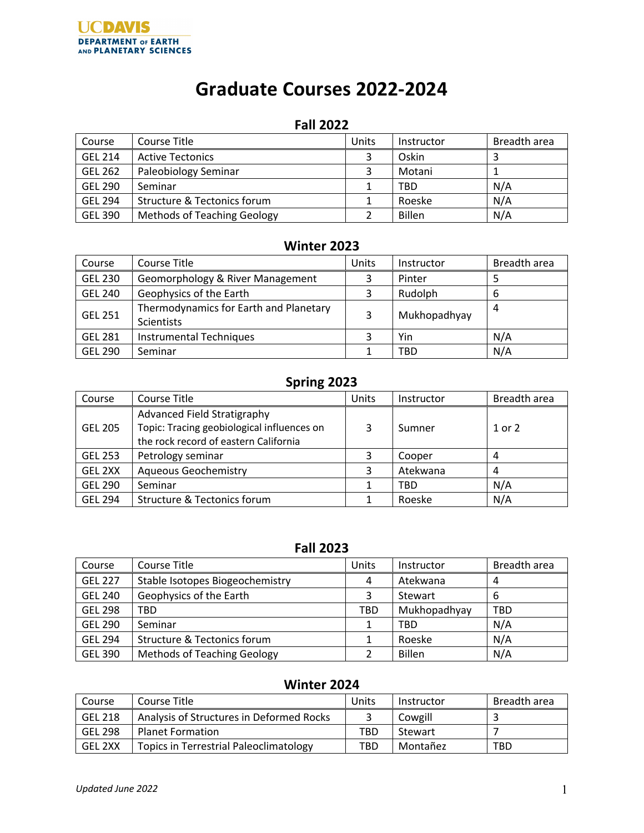# **Graduate Courses 2022-2024**

# **Fall 2022**

| Course         | Course Title                       | Units | Instructor    | Breadth area |
|----------------|------------------------------------|-------|---------------|--------------|
| <b>GEL 214</b> | <b>Active Tectonics</b>            | 3     | Oskin         |              |
| <b>GEL 262</b> | Paleobiology Seminar               |       | Motani        |              |
| <b>GEL 290</b> | Seminar                            |       | <b>TBD</b>    | N/A          |
| <b>GEL 294</b> | Structure & Tectonics forum        |       | Roeske        | N/A          |
| <b>GEL 390</b> | <b>Methods of Teaching Geology</b> |       | <b>Billen</b> | N/A          |

# **Winter 2023**

| Course         | Course Title                                         | Units | Instructor   | Breadth area |
|----------------|------------------------------------------------------|-------|--------------|--------------|
| <b>GEL 230</b> | Geomorphology & River Management                     | 3     | Pinter       |              |
| <b>GEL 240</b> | Geophysics of the Earth                              | 3     | Rudolph      | 6            |
| <b>GEL 251</b> | Thermodynamics for Earth and Planetary<br>Scientists | 3     | Mukhopadhyay | 4            |
| <b>GEL 281</b> | <b>Instrumental Techniques</b>                       |       | Yin          | N/A          |
| <b>GEL 290</b> | Seminar                                              |       | <b>TBD</b>   | N/A          |

# **Spring 2023**

| Course         | Course Title                                                                                                       | Units | Instructor | Breadth area |
|----------------|--------------------------------------------------------------------------------------------------------------------|-------|------------|--------------|
| <b>GEL 205</b> | Advanced Field Stratigraphy<br>Topic: Tracing geobiological influences on<br>the rock record of eastern California | 3     | Sumner     | 1 or 2       |
| <b>GEL 253</b> | Petrology seminar                                                                                                  |       | Cooper     | 4            |
| GEL 2XX        | <b>Aqueous Geochemistry</b>                                                                                        |       | Atekwana   | 4            |
| <b>GEL 290</b> | Seminar                                                                                                            |       | <b>TBD</b> | N/A          |
| <b>GEL 294</b> | <b>Structure &amp; Tectonics forum</b>                                                                             |       | Roeske     | N/A          |

# **Fall 2023**

| Course         | Course Title                       | Units | Instructor   | Breadth area |
|----------------|------------------------------------|-------|--------------|--------------|
| <b>GEL 227</b> | Stable Isotopes Biogeochemistry    | 4     | Atekwana     | 4            |
| <b>GEL 240</b> | Geophysics of the Earth            | 3     | Stewart      | 6            |
| <b>GEL 298</b> | TBD                                | TBD   | Mukhopadhyay | <b>TBD</b>   |
| <b>GEL 290</b> | Seminar                            | 1     | <b>TBD</b>   | N/A          |
| <b>GEL 294</b> | Structure & Tectonics forum        | 1     | Roeske       | N/A          |
| <b>GEL 390</b> | <b>Methods of Teaching Geology</b> |       | Billen       | N/A          |

# **Winter 2024**

| Course         | Course Title                                  | Units      | Instructor | Breadth area |
|----------------|-----------------------------------------------|------------|------------|--------------|
| <b>GEL 218</b> | Analysis of Structures in Deformed Rocks      |            | Cowgill    |              |
| <b>GEL 298</b> | <b>Planet Formation</b>                       | TBD        | Stewart    |              |
| GEL 2XX        | <b>Topics in Terrestrial Paleoclimatology</b> | <b>TBD</b> | Montañez   | TBD          |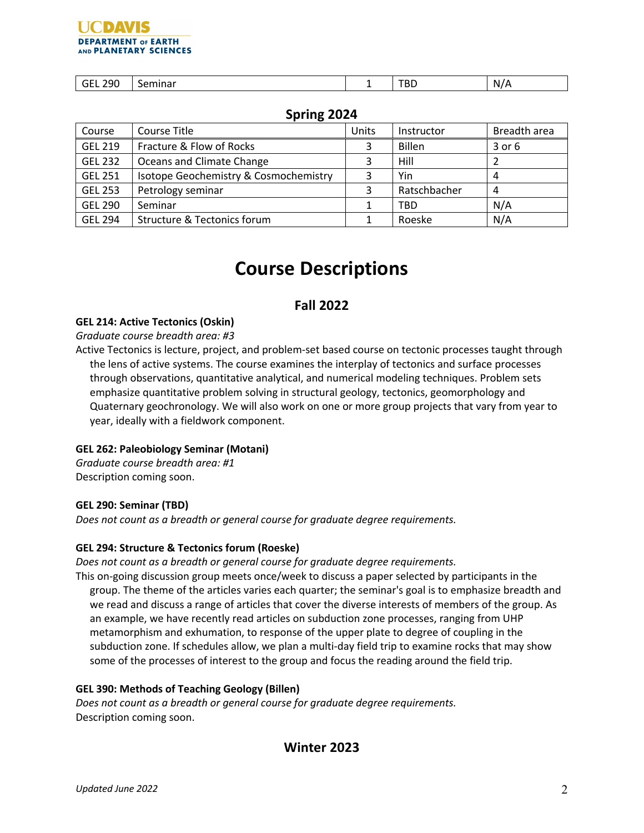#### UCDIVIS **DEPARTMENT OF EARTH** AND PLANETARY SCIENCES

| 29 <sub>C</sub><br>_____ | Seminar | - | <b>TBD</b> | $^{\prime}$<br>N, |
|--------------------------|---------|---|------------|-------------------|

# **Spring 2024**

| Course         | Course Title                           | Units | Instructor    | Breadth area |
|----------------|----------------------------------------|-------|---------------|--------------|
| <b>GEL 219</b> | Fracture & Flow of Rocks               | 3     | <b>Billen</b> | $3$ or $6$   |
| <b>GEL 232</b> | Oceans and Climate Change              |       | Hill          |              |
| <b>GEL 251</b> | Isotope Geochemistry & Cosmochemistry  |       | Yin           |              |
| <b>GEL 253</b> | Petrology seminar                      |       | Ratschbacher  | 4            |
| <b>GEL 290</b> | Seminar                                |       | <b>TBD</b>    | N/A          |
| <b>GEL 294</b> | <b>Structure &amp; Tectonics forum</b> |       | Roeske        | N/A          |

# **Course Descriptions**

# **Fall 2022**

## **GEL 214: Active Tectonics (Oskin)**

#### *Graduate course breadth area: #3*

Active Tectonics is lecture, project, and problem-set based course on tectonic processes taught through the lens of active systems. The course examines the interplay of tectonics and surface processes through observations, quantitative analytical, and numerical modeling techniques. Problem sets emphasize quantitative problem solving in structural geology, tectonics, geomorphology and Quaternary geochronology. We will also work on one or more group projects that vary from year to year, ideally with a fieldwork component.

## **GEL 262: Paleobiology Seminar (Motani)**

*Graduate course breadth area: #1* Description coming soon.

#### **GEL 290: Seminar (TBD)**

*Does not count as a breadth or general course for graduate degree requirements.*

## **GEL 294: Structure & Tectonics forum (Roeske)**

*Does not count as a breadth or general course for graduate degree requirements.*

This on-going discussion group meets once/week to discuss a paper selected by participants in the group. The theme of the articles varies each quarter; the seminar's goal is to emphasize breadth and we read and discuss a range of articles that cover the diverse interests of members of the group. As an example, we have recently read articles on subduction zone processes, ranging from UHP metamorphism and exhumation, to response of the upper plate to degree of coupling in the subduction zone. If schedules allow, we plan a multi-day field trip to examine rocks that may show some of the processes of interest to the group and focus the reading around the field trip.

## **GEL 390: Methods of Teaching Geology (Billen)**

*Does not count as a breadth or general course for graduate degree requirements.* Description coming soon.

# **Winter 2023**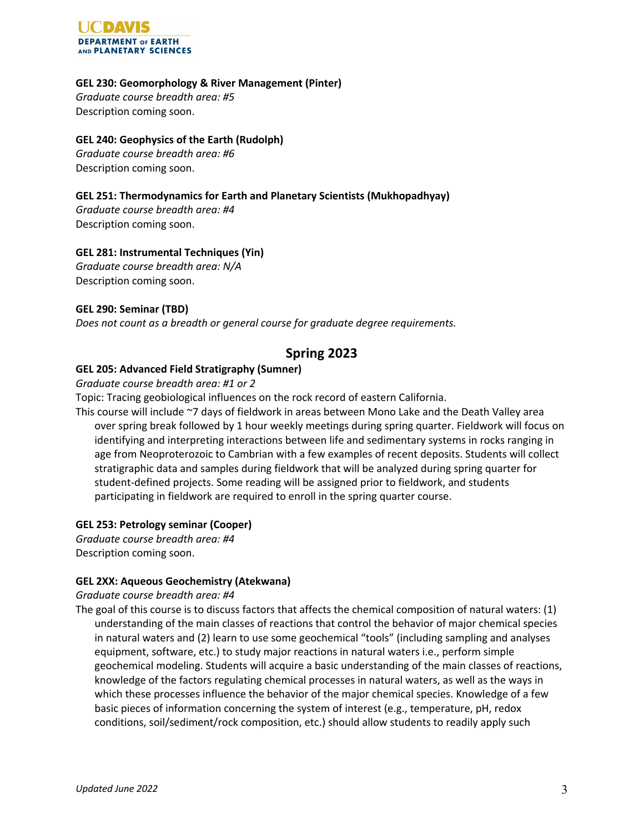

#### **GEL 230: Geomorphology & River Management (Pinter)**

*Graduate course breadth area: #5* Description coming soon.

## **GEL 240: Geophysics of the Earth (Rudolph)**

*Graduate course breadth area: #6* Description coming soon.

## **GEL 251: Thermodynamics for Earth and Planetary Scientists (Mukhopadhyay)**

*Graduate course breadth area: #4* Description coming soon.

## **GEL 281: Instrumental Techniques (Yin)**

*Graduate course breadth area: N/A* Description coming soon.

## **GEL 290: Seminar (TBD)**

*Does not count as a breadth or general course for graduate degree requirements.*

# **Spring 2023**

## **GEL 205: Advanced Field Stratigraphy (Sumner)**

#### *Graduate course breadth area: #1 or 2*

Topic: Tracing geobiological influences on the rock record of eastern California.

This course will include ~7 days of fieldwork in areas between Mono Lake and the Death Valley area over spring break followed by 1 hour weekly meetings during spring quarter. Fieldwork will focus on identifying and interpreting interactions between life and sedimentary systems in rocks ranging in age from Neoproterozoic to Cambrian with a few examples of recent deposits. Students will collect stratigraphic data and samples during fieldwork that will be analyzed during spring quarter for student-defined projects. Some reading will be assigned prior to fieldwork, and students participating in fieldwork are required to enroll in the spring quarter course.

## **GEL 253: Petrology seminar (Cooper)**

*Graduate course breadth area: #4* Description coming soon.

## **GEL 2XX: Aqueous Geochemistry (Atekwana)**

#### *Graduate course breadth area: #4*

The goal of this course is to discuss factors that affects the chemical composition of natural waters: (1) understanding of the main classes of reactions that control the behavior of major chemical species in natural waters and (2) learn to use some geochemical "tools" (including sampling and analyses equipment, software, etc.) to study major reactions in natural waters i.e., perform simple geochemical modeling. Students will acquire a basic understanding of the main classes of reactions, knowledge of the factors regulating chemical processes in natural waters, as well as the ways in which these processes influence the behavior of the major chemical species. Knowledge of a few basic pieces of information concerning the system of interest (e.g., temperature, pH, redox conditions, soil/sediment/rock composition, etc.) should allow students to readily apply such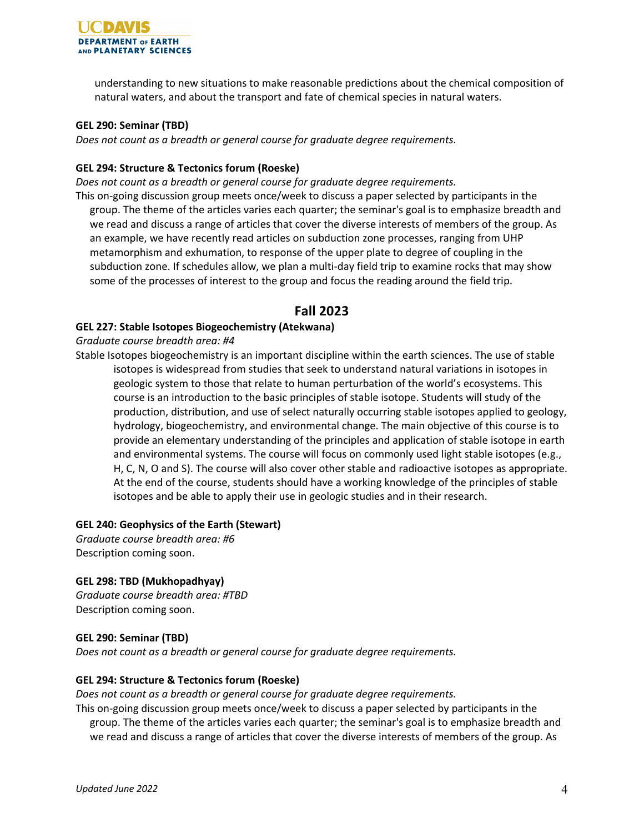

understanding to new situations to make reasonable predictions about the chemical composition of natural waters, and about the transport and fate of chemical species in natural waters.

#### **GEL 290: Seminar (TBD)**

*Does not count as a breadth or general course for graduate degree requirements.*

#### **GEL 294: Structure & Tectonics forum (Roeske)**

*Does not count as a breadth or general course for graduate degree requirements.*

This on-going discussion group meets once/week to discuss a paper selected by participants in the group. The theme of the articles varies each quarter; the seminar's goal is to emphasize breadth and we read and discuss a range of articles that cover the diverse interests of members of the group. As an example, we have recently read articles on subduction zone processes, ranging from UHP metamorphism and exhumation, to response of the upper plate to degree of coupling in the subduction zone. If schedules allow, we plan a multi-day field trip to examine rocks that may show some of the processes of interest to the group and focus the reading around the field trip.

## **Fall 2023**

#### **GEL 227: Stable Isotopes Biogeochemistry (Atekwana)**

*Graduate course breadth area: #4*

Stable Isotopes biogeochemistry is an important discipline within the earth sciences. The use of stable isotopes is widespread from studies that seek to understand natural variations in isotopes in geologic system to those that relate to human perturbation of the world's ecosystems. This course is an introduction to the basic principles of stable isotope. Students will study of the production, distribution, and use of select naturally occurring stable isotopes applied to geology, hydrology, biogeochemistry, and environmental change. The main objective of this course is to provide an elementary understanding of the principles and application of stable isotope in earth and environmental systems. The course will focus on commonly used light stable isotopes (e.g., H, C, N, O and S). The course will also cover other stable and radioactive isotopes as appropriate. At the end of the course, students should have a working knowledge of the principles of stable isotopes and be able to apply their use in geologic studies and in their research.

#### **GEL 240: Geophysics of the Earth (Stewart)**

*Graduate course breadth area: #6* Description coming soon.

#### **GEL 298: TBD (Mukhopadhyay)**

*Graduate course breadth area: #TBD* Description coming soon.

#### **GEL 290: Seminar (TBD)**

*Does not count as a breadth or general course for graduate degree requirements.*

#### **GEL 294: Structure & Tectonics forum (Roeske)**

*Does not count as a breadth or general course for graduate degree requirements.*

This on-going discussion group meets once/week to discuss a paper selected by participants in the group. The theme of the articles varies each quarter; the seminar's goal is to emphasize breadth and we read and discuss a range of articles that cover the diverse interests of members of the group. As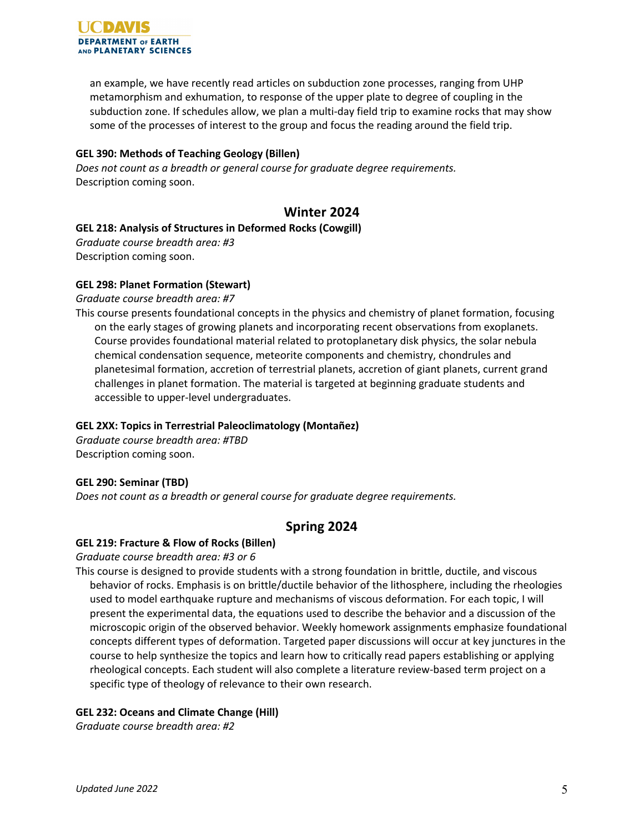

an example, we have recently read articles on subduction zone processes, ranging from UHP metamorphism and exhumation, to response of the upper plate to degree of coupling in the subduction zone. If schedules allow, we plan a multi-day field trip to examine rocks that may show some of the processes of interest to the group and focus the reading around the field trip.

#### **GEL 390: Methods of Teaching Geology (Billen)**

*Does not count as a breadth or general course for graduate degree requirements.* Description coming soon.

# **Winter 2024**

#### **GEL 218: Analysis of Structures in Deformed Rocks (Cowgill)**

*Graduate course breadth area: #3* Description coming soon.

#### **GEL 298: Planet Formation (Stewart)**

*Graduate course breadth area: #7*

This course presents foundational concepts in the physics and chemistry of planet formation, focusing on the early stages of growing planets and incorporating recent observations from exoplanets. Course provides foundational material related to protoplanetary disk physics, the solar nebula chemical condensation sequence, meteorite components and chemistry, chondrules and planetesimal formation, accretion of terrestrial planets, accretion of giant planets, current grand challenges in planet formation. The material is targeted at beginning graduate students and accessible to upper-level undergraduates.

#### **GEL 2XX: Topics in Terrestrial Paleoclimatology (Montañez)**

*Graduate course breadth area: #TBD* Description coming soon.

#### **GEL 290: Seminar (TBD)**

*Does not count as a breadth or general course for graduate degree requirements.*

# **Spring 2024**

#### **GEL 219: Fracture & Flow of Rocks (Billen)**

*Graduate course breadth area: #3 or 6*

This course is designed to provide students with a strong foundation in brittle, ductile, and viscous behavior of rocks. Emphasis is on brittle/ductile behavior of the lithosphere, including the rheologies used to model earthquake rupture and mechanisms of viscous deformation. For each topic, I will present the experimental data, the equations used to describe the behavior and a discussion of the microscopic origin of the observed behavior. Weekly homework assignments emphasize foundational concepts different types of deformation. Targeted paper discussions will occur at key junctures in the course to help synthesize the topics and learn how to critically read papers establishing or applying rheological concepts. Each student will also complete a literature review-based term project on a specific type of theology of relevance to their own research.

#### **GEL 232: Oceans and Climate Change (Hill)**

*Graduate course breadth area: #2*